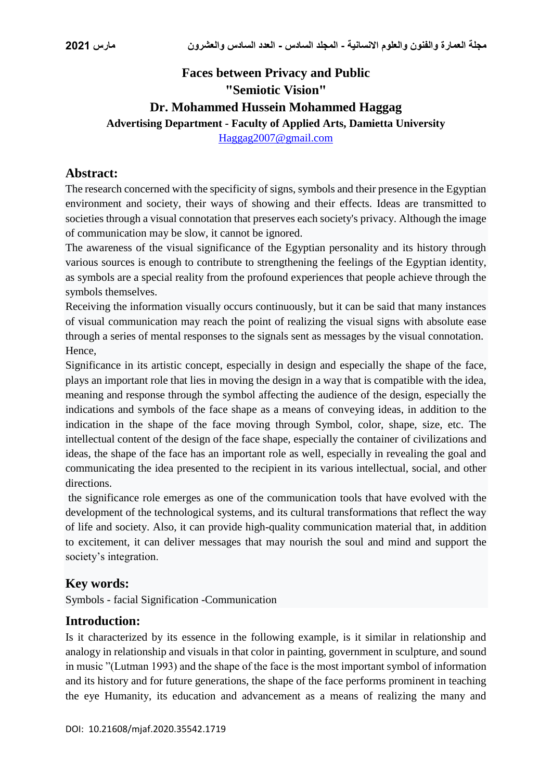# **Faces between Privacy and Public "Semiotic Vision" Dr. Mohammed Hussein Mohammed Haggag Advertising Department - Faculty of Applied Arts, Damietta University** [Haggag2007@gmail.com](mailto:Haggag2007@gmail.com)

### **Abstract:**

The research concerned with the specificity of signs, symbols and their presence in the Egyptian environment and society, their ways of showing and their effects. Ideas are transmitted to societies through a visual connotation that preserves each society's privacy. Although the image of communication may be slow, it cannot be ignored.

The awareness of the visual significance of the Egyptian personality and its history through various sources is enough to contribute to strengthening the feelings of the Egyptian identity, as symbols are a special reality from the profound experiences that people achieve through the symbols themselves.

Receiving the information visually occurs continuously, but it can be said that many instances of visual communication may reach the point of realizing the visual signs with absolute ease through a series of mental responses to the signals sent as messages by the visual connotation. Hence,

Significance in its artistic concept, especially in design and especially the shape of the face, plays an important role that lies in moving the design in a way that is compatible with the idea, meaning and response through the symbol affecting the audience of the design, especially the indications and symbols of the face shape as a means of conveying ideas, in addition to the indication in the shape of the face moving through Symbol, color, shape, size, etc. The intellectual content of the design of the face shape, especially the container of civilizations and ideas, the shape of the face has an important role as well, especially in revealing the goal and communicating the idea presented to the recipient in its various intellectual, social, and other directions.

the significance role emerges as one of the communication tools that have evolved with the development of the technological systems, and its cultural transformations that reflect the way of life and society. Also, it can provide high-quality communication material that, in addition to excitement, it can deliver messages that may nourish the soul and mind and support the society's integration.

#### **Key words:**

Symbols - facial Signification -Communication

#### **Introduction:**

Is it characterized by its essence in the following example, is it similar in relationship and analogy in relationship and visuals in that color in painting, government in sculpture, and sound in music "(Lutman 1993) and the shape of the face is the most important symbol of information and its history and for future generations, the shape of the face performs prominent in teaching the eye Humanity, its education and advancement as a means of realizing the many and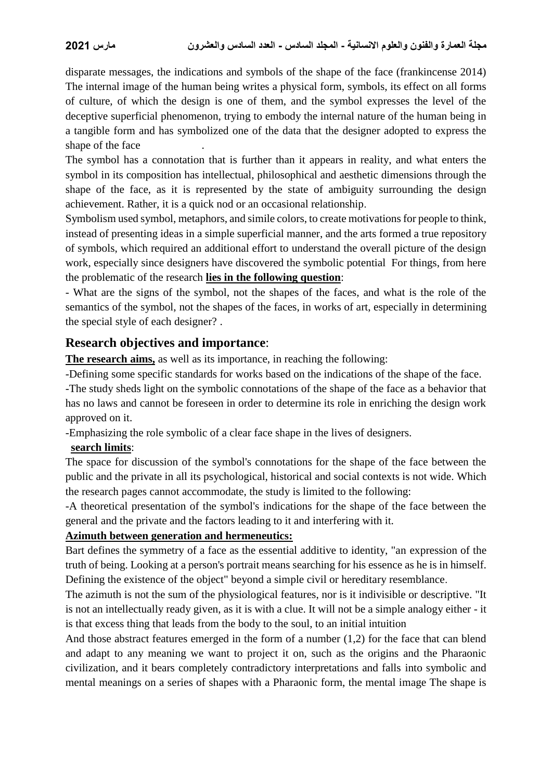disparate messages, the indications and symbols of the shape of the face (frankincense 2014) The internal image of the human being writes a physical form, symbols, its effect on all forms of culture, of which the design is one of them, and the symbol expresses the level of the deceptive superficial phenomenon, trying to embody the internal nature of the human being in a tangible form and has symbolized one of the data that the designer adopted to express the shape of the face

The symbol has a connotation that is further than it appears in reality, and what enters the symbol in its composition has intellectual, philosophical and aesthetic dimensions through the shape of the face, as it is represented by the state of ambiguity surrounding the design achievement. Rather, it is a quick nod or an occasional relationship.

Symbolism used symbol, metaphors, and simile colors, to create motivations for people to think, instead of presenting ideas in a simple superficial manner, and the arts formed a true repository of symbols, which required an additional effort to understand the overall picture of the design work, especially since designers have discovered the symbolic potential For things, from here the problematic of the research **lies in the following question**:

- What are the signs of the symbol, not the shapes of the faces, and what is the role of the semantics of the symbol, not the shapes of the faces, in works of art, especially in determining the special style of each designer? .

### **Research objectives and importance**:

**The research aims,** as well as its importance, in reaching the following:

-Defining some specific standards for works based on the indications of the shape of the face.

-The study sheds light on the symbolic connotations of the shape of the face as a behavior that has no laws and cannot be foreseen in order to determine its role in enriching the design work approved on it.

-Emphasizing the role symbolic of a clear face shape in the lives of designers.

#### **search limits**:

The space for discussion of the symbol's connotations for the shape of the face between the public and the private in all its psychological, historical and social contexts is not wide. Which the research pages cannot accommodate, the study is limited to the following:

-A theoretical presentation of the symbol's indications for the shape of the face between the general and the private and the factors leading to it and interfering with it.

#### **Azimuth between generation and hermeneutics:**

Bart defines the symmetry of a face as the essential additive to identity, "an expression of the truth of being. Looking at a person's portrait means searching for his essence as he is in himself. Defining the existence of the object" beyond a simple civil or hereditary resemblance.

The azimuth is not the sum of the physiological features, nor is it indivisible or descriptive. "It is not an intellectually ready given, as it is with a clue. It will not be a simple analogy either - it is that excess thing that leads from the body to the soul, to an initial intuition

And those abstract features emerged in the form of a number (1,2) for the face that can blend and adapt to any meaning we want to project it on, such as the origins and the Pharaonic civilization, and it bears completely contradictory interpretations and falls into symbolic and mental meanings on a series of shapes with a Pharaonic form, the mental image The shape is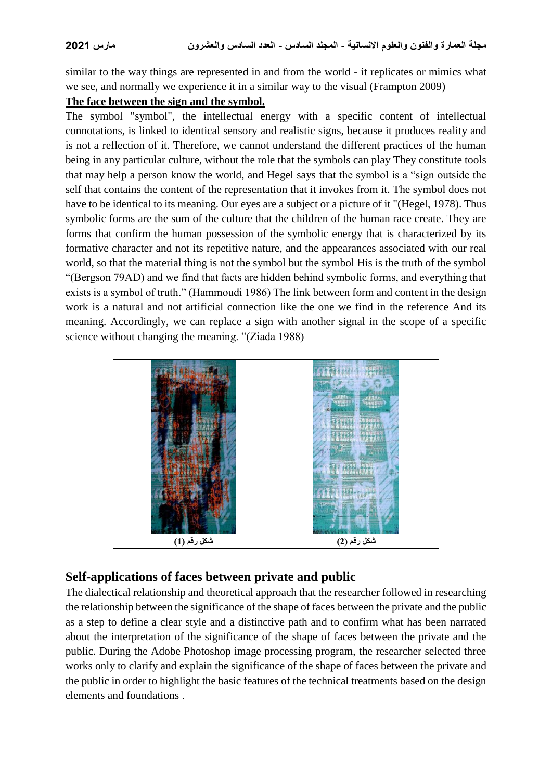similar to the way things are represented in and from the world - it replicates or mimics what we see, and normally we experience it in a similar way to the visual (Frampton 2009)

#### **The face between the sign and the symbol.**

The symbol "symbol", the intellectual energy with a specific content of intellectual connotations, is linked to identical sensory and realistic signs, because it produces reality and is not a reflection of it. Therefore, we cannot understand the different practices of the human being in any particular culture, without the role that the symbols can play They constitute tools that may help a person know the world, and Hegel says that the symbol is a "sign outside the self that contains the content of the representation that it invokes from it. The symbol does not have to be identical to its meaning. Our eyes are a subject or a picture of it "(Hegel, 1978). Thus symbolic forms are the sum of the culture that the children of the human race create. They are forms that confirm the human possession of the symbolic energy that is characterized by its formative character and not its repetitive nature, and the appearances associated with our real world, so that the material thing is not the symbol but the symbol His is the truth of the symbol "(Bergson 79AD) and we find that facts are hidden behind symbolic forms, and everything that exists is a symbol of truth." (Hammoudi 1986) The link between form and content in the design work is a natural and not artificial connection like the one we find in the reference And its meaning. Accordingly, we can replace a sign with another signal in the scope of a specific science without changing the meaning. "(Ziada 1988)



# **Self-applications of faces between private and public**

The dialectical relationship and theoretical approach that the researcher followed in researching the relationship between the significance of the shape of faces between the private and the public as a step to define a clear style and a distinctive path and to confirm what has been narrated about the interpretation of the significance of the shape of faces between the private and the public. During the Adobe Photoshop image processing program, the researcher selected three works only to clarify and explain the significance of the shape of faces between the private and the public in order to highlight the basic features of the technical treatments based on the design elements and foundations .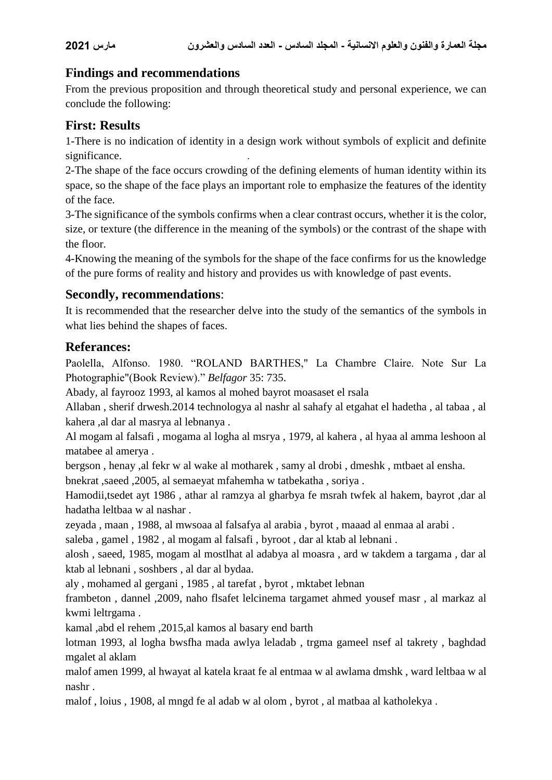# **Findings and recommendations**

From the previous proposition and through theoretical study and personal experience, we can conclude the following:

# **First: Results**

1-There is no indication of identity in a design work without symbols of explicit and definite significance.

2-The shape of the face occurs crowding of the defining elements of human identity within its space, so the shape of the face plays an important role to emphasize the features of the identity of the face.

3-The significance of the symbols confirms when a clear contrast occurs, whether it is the color, size, or texture (the difference in the meaning of the symbols) or the contrast of the shape with the floor.

4-Knowing the meaning of the symbols for the shape of the face confirms for us the knowledge of the pure forms of reality and history and provides us with knowledge of past events.

### **Secondly, recommendations**:

It is recommended that the researcher delve into the study of the semantics of the symbols in what lies behind the shapes of faces.

# **Referances:**

Paolella, Alfonso. 1980. "ROLAND BARTHES," La Chambre Claire. Note Sur La Photographie"(Book Review)." *Belfagor* 35: 735.

Abady, al fayrooz 1993, al kamos al mohed bayrot moasaset el rsala

Allaban , sherif drwesh.2014 technologya al nashr al sahafy al etgahat el hadetha , al tabaa , al kahera ,al dar al masrya al lebnanya .

Al mogam al falsafi , mogama al logha al msrya , 1979, al kahera , al hyaa al amma leshoon al matabee al amerya .

bergson , henay ,al fekr w al wake al motharek , samy al drobi , dmeshk , mtbaet al ensha. bnekrat ,saeed ,2005, al semaeyat mfahemha w tatbekatha , soriya .

Hamodii,tsedet ayt 1986 , athar al ramzya al gharbya fe msrah twfek al hakem, bayrot ,dar al hadatha leltbaa w al nashar .

zeyada , maan , 1988, al mwsoaa al falsafya al arabia , byrot , maaad al enmaa al arabi .

saleba , gamel , 1982 , al mogam al falsafi , byroot , dar al ktab al lebnani .

alosh , saeed, 1985, mogam al mostlhat al adabya al moasra , ard w takdem a targama , dar al ktab al lebnani , soshbers , al dar al bydaa.

aly , mohamed al gergani , 1985 , al tarefat , byrot , mktabet lebnan

frambeton , dannel ,2009, naho flsafet lelcinema targamet ahmed yousef masr , al markaz al kwmi leltrgama .

kamal ,abd el rehem ,2015,al kamos al basary end barth

lotman 1993, al logha bwsfha mada awlya leladab , trgma gameel nsef al takrety , baghdad mgalet al aklam

malof amen 1999, al hwayat al katela kraat fe al entmaa w al awlama dmshk , ward leltbaa w al nashr .

malof , loius , 1908, al mngd fe al adab w al olom , byrot , al matbaa al katholekya .